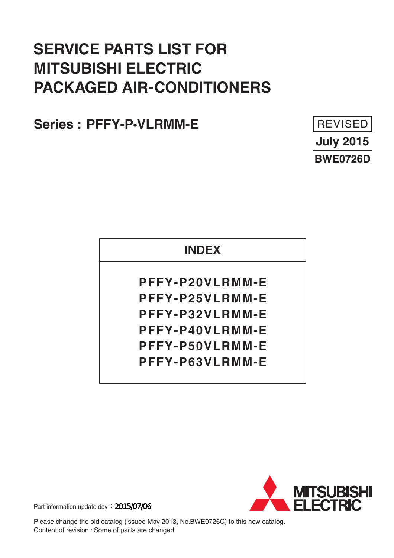# **SERVICE PARTS LIST FOR MITSUBISHI ELECTRIC PACKAGED AIR-CONDITIONERS**

**PFFY-P•VLRMM-E Series :** 



## **INDEX**

**PFFY-P20VLRMM-E PFFY-P25VLRMM-E PFFY-P32VLRMM-E PFFY-P40VLRMM-E PFFY-P50VLRMM-E PFFY-P63VLRMM-E**



Part information update day: 2015/07/06

Please change the old catalog (issued May 2013, No.BWE0726C) to this new catalog. Content of revision : Some of parts are changed.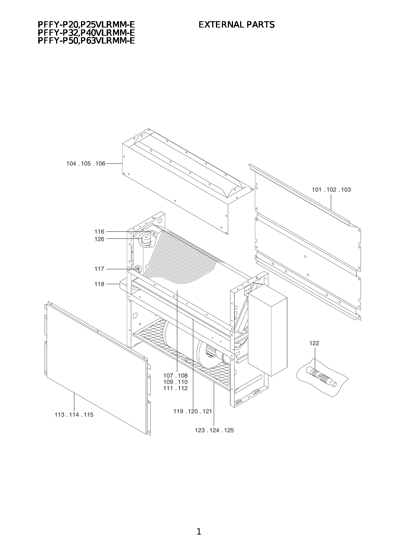

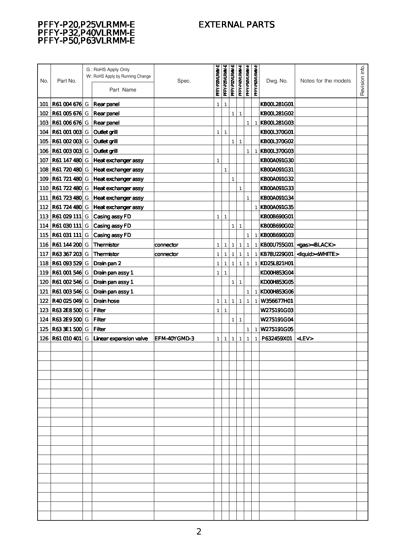### EXTERNAL PARTS

#### PFFY-P20,P25VLRMM-E PFFY-P32,P40VLRMM-E PFFY-P50,P63VLRMM-E

| <b>R61004676</b> G<br><b>Rear panel</b><br><b>KB00L281G01</b><br>101<br>1<br>1<br><b>R61005676</b> G<br><b>Rear panel</b><br>KB00L281G02<br>102<br>$\mathbf{1}$<br>$\mathbf{1}$<br><b>R61006676</b> G<br>Rear panel<br><b>KBOOL281GO3</b><br>103<br>$\mathbf{1}$<br>1<br><b>R61001003</b> G<br>Outletarill<br><b>KBOOL370GO1</b><br>104<br>$\mathbf{1}$<br>$\mathbf{1}$<br><b>R61002003</b> G<br>105<br><b>Outlet grill</b><br>KB00L370G02<br>$\mathbf{1}$<br>$\mathbf{1}$<br>106   <b>R61 003 003</b>   G<br><b>Outlet grill</b><br><b>KBOOL370G03</b><br>$\mathbf{1}$<br>1<br>  <b>R61 147 480</b> G<br>Heat exchanger assy<br>$\mathbf{1}$<br>KB00A091G30<br>107<br><b>R61 720 480</b> G<br>Heat exchanger assy<br>KB00A091G31<br>108<br>1<br>109<br><b>R61721480 G</b><br><b>Heat exchanger assy</b><br>KB00A091G32<br>1<br><b>R61 722 480 G</b><br><b>Heat exchanger assy</b><br>KB00A091G33<br>110<br>$\mathbf{1}$<br>R61 723 480 G<br><b>Heat exchanger assy</b><br>KB00A091G34<br>111<br>1<br>112<br><b>R61 724 480 G</b><br><b>Heat exchanger assy</b><br>KBOOAO91G35<br>1<br><b>R61 029 111</b> G<br>Casing assy FD<br><b>KB00B690G01</b><br>113<br>1<br>1<br><b>R61030111 G</b><br>Casing assy FD<br>1<br><b>KBOOB69OGO2</b><br>114<br>1<br>  <b>R61 031 111</b>   G<br>Casing assy FD<br>KBOOB69OGO3<br>115<br>$\mathbf{1}$<br>$\mathbf{1}$<br><b>R61 144 200</b> G<br><b>Themistor</b><br> KBOOU755GO1  <gas><black><br/>116<br/>1<br/>1<br/><math>\mathbf{1}</math><br/>1<br/>connector<br/>1<br/>1<br/>R63367203 G<br/><b>Thermistor</b><br/>KB78U229G01<br/><liquid><white><br/>117<br/>connector<br/>1<br/>1<br/>1<br/>1<br/>1<br/>1<br/><b>R61 093 529 G</b><br/>Drain pan 2<br/>KD25L821H01<br/>118<br/>1<br/><math>\mathbf{1}</math><br/><math>\mathbf{1}</math><br/><math>\mathbf{1}</math><br/>1<br/>1<br/>119<br/><b>R61 001 546 G</b><br/>Drain pan assy 1<br/>KD00H853G04<br/><math>\mathbf{1}</math><br/>1<br/><b>R61002546G</b><br/>Drain pan assy 1<br/>KD00H853G05<br/>120<br/>1<br/><math>\mathbf{1}</math><br/><b>R61 003 546 G</b><br/>Drain pan assy 1<br/>KDOOH853GO6<br/>121<br/><math>\mathbf{1}</math><br/>1<br/><b>Drain hose</b><br/><b>R40025049 G</b><br/>W356677H01<br/>122<br/>1<br/>1<br/><math>\mathbf{1}</math><br/>1<br/>1<br/>1<br/><b>R632E8500 G</b><br/>123<br/>Filter<br/>W275191GO3<br/>1<br/>1<br/>124 R63 2E 9500 G<br/>Filter<br/>W275191GO4<br/><math>\mathbf{1}</math><br/><math>\mathbf{1}</math><br/>R633E1500 G<br/><b>Filter</b><br/>W275191GO5<br/>125<br/><math>\mathbf{1}</math><br/>1<br/> <b>R61 010 401</b>   G<br/><math>\leq</math>LEV<math>&gt;</math><br/>Linear expansion valve<br/>EFM-40YGMD-3<br/>P632459X01<br/>126<br/><math>\mathbf{1}</math><br/>1<br/><math>\mathbf{1}</math><br/><math>\mathbf{1}</math><br/>1<br/>1</white></liquid></black></gas> | No. | Part No. | G: RoHS Apply Only<br>W: RoHS Apply by Running Change<br>Part Name | Spec. | PFFY-P20VLRMM-E | PFFY-P25VLRMM-E | PFFY-P32VLRMM-E | PFFY-P40VLRMM-E | PFFY-P50VLRMM-E | PFFY-P63VLRMM-E | Dwg. No. | Notes for the models | Revision info. |
|---------------------------------------------------------------------------------------------------------------------------------------------------------------------------------------------------------------------------------------------------------------------------------------------------------------------------------------------------------------------------------------------------------------------------------------------------------------------------------------------------------------------------------------------------------------------------------------------------------------------------------------------------------------------------------------------------------------------------------------------------------------------------------------------------------------------------------------------------------------------------------------------------------------------------------------------------------------------------------------------------------------------------------------------------------------------------------------------------------------------------------------------------------------------------------------------------------------------------------------------------------------------------------------------------------------------------------------------------------------------------------------------------------------------------------------------------------------------------------------------------------------------------------------------------------------------------------------------------------------------------------------------------------------------------------------------------------------------------------------------------------------------------------------------------------------------------------------------------------------------------------------------------------------------------------------------------------------------------------------------------------------------------------------------------------------------------------------------------------------------------------------------------------------------------------------------------------------------------------------------------------------------------------------------------------------------------------------------------------------------------------------------------------------------------------------------------------------------------------------------------------------------------------------------------------------------------------------------------------------------------------------------------------------------------------------------------------------------------------------------------------------------------------------------------------------------------------------|-----|----------|--------------------------------------------------------------------|-------|-----------------|-----------------|-----------------|-----------------|-----------------|-----------------|----------|----------------------|----------------|
|                                                                                                                                                                                                                                                                                                                                                                                                                                                                                                                                                                                                                                                                                                                                                                                                                                                                                                                                                                                                                                                                                                                                                                                                                                                                                                                                                                                                                                                                                                                                                                                                                                                                                                                                                                                                                                                                                                                                                                                                                                                                                                                                                                                                                                                                                                                                                                                                                                                                                                                                                                                                                                                                                                                                                                                                                                       |     |          |                                                                    |       |                 |                 |                 |                 |                 |                 |          |                      |                |
|                                                                                                                                                                                                                                                                                                                                                                                                                                                                                                                                                                                                                                                                                                                                                                                                                                                                                                                                                                                                                                                                                                                                                                                                                                                                                                                                                                                                                                                                                                                                                                                                                                                                                                                                                                                                                                                                                                                                                                                                                                                                                                                                                                                                                                                                                                                                                                                                                                                                                                                                                                                                                                                                                                                                                                                                                                       |     |          |                                                                    |       |                 |                 |                 |                 |                 |                 |          |                      |                |
|                                                                                                                                                                                                                                                                                                                                                                                                                                                                                                                                                                                                                                                                                                                                                                                                                                                                                                                                                                                                                                                                                                                                                                                                                                                                                                                                                                                                                                                                                                                                                                                                                                                                                                                                                                                                                                                                                                                                                                                                                                                                                                                                                                                                                                                                                                                                                                                                                                                                                                                                                                                                                                                                                                                                                                                                                                       |     |          |                                                                    |       |                 |                 |                 |                 |                 |                 |          |                      |                |
|                                                                                                                                                                                                                                                                                                                                                                                                                                                                                                                                                                                                                                                                                                                                                                                                                                                                                                                                                                                                                                                                                                                                                                                                                                                                                                                                                                                                                                                                                                                                                                                                                                                                                                                                                                                                                                                                                                                                                                                                                                                                                                                                                                                                                                                                                                                                                                                                                                                                                                                                                                                                                                                                                                                                                                                                                                       |     |          |                                                                    |       |                 |                 |                 |                 |                 |                 |          |                      |                |
|                                                                                                                                                                                                                                                                                                                                                                                                                                                                                                                                                                                                                                                                                                                                                                                                                                                                                                                                                                                                                                                                                                                                                                                                                                                                                                                                                                                                                                                                                                                                                                                                                                                                                                                                                                                                                                                                                                                                                                                                                                                                                                                                                                                                                                                                                                                                                                                                                                                                                                                                                                                                                                                                                                                                                                                                                                       |     |          |                                                                    |       |                 |                 |                 |                 |                 |                 |          |                      |                |
|                                                                                                                                                                                                                                                                                                                                                                                                                                                                                                                                                                                                                                                                                                                                                                                                                                                                                                                                                                                                                                                                                                                                                                                                                                                                                                                                                                                                                                                                                                                                                                                                                                                                                                                                                                                                                                                                                                                                                                                                                                                                                                                                                                                                                                                                                                                                                                                                                                                                                                                                                                                                                                                                                                                                                                                                                                       |     |          |                                                                    |       |                 |                 |                 |                 |                 |                 |          |                      |                |
|                                                                                                                                                                                                                                                                                                                                                                                                                                                                                                                                                                                                                                                                                                                                                                                                                                                                                                                                                                                                                                                                                                                                                                                                                                                                                                                                                                                                                                                                                                                                                                                                                                                                                                                                                                                                                                                                                                                                                                                                                                                                                                                                                                                                                                                                                                                                                                                                                                                                                                                                                                                                                                                                                                                                                                                                                                       |     |          |                                                                    |       |                 |                 |                 |                 |                 |                 |          |                      |                |
|                                                                                                                                                                                                                                                                                                                                                                                                                                                                                                                                                                                                                                                                                                                                                                                                                                                                                                                                                                                                                                                                                                                                                                                                                                                                                                                                                                                                                                                                                                                                                                                                                                                                                                                                                                                                                                                                                                                                                                                                                                                                                                                                                                                                                                                                                                                                                                                                                                                                                                                                                                                                                                                                                                                                                                                                                                       |     |          |                                                                    |       |                 |                 |                 |                 |                 |                 |          |                      |                |
|                                                                                                                                                                                                                                                                                                                                                                                                                                                                                                                                                                                                                                                                                                                                                                                                                                                                                                                                                                                                                                                                                                                                                                                                                                                                                                                                                                                                                                                                                                                                                                                                                                                                                                                                                                                                                                                                                                                                                                                                                                                                                                                                                                                                                                                                                                                                                                                                                                                                                                                                                                                                                                                                                                                                                                                                                                       |     |          |                                                                    |       |                 |                 |                 |                 |                 |                 |          |                      |                |
|                                                                                                                                                                                                                                                                                                                                                                                                                                                                                                                                                                                                                                                                                                                                                                                                                                                                                                                                                                                                                                                                                                                                                                                                                                                                                                                                                                                                                                                                                                                                                                                                                                                                                                                                                                                                                                                                                                                                                                                                                                                                                                                                                                                                                                                                                                                                                                                                                                                                                                                                                                                                                                                                                                                                                                                                                                       |     |          |                                                                    |       |                 |                 |                 |                 |                 |                 |          |                      |                |
|                                                                                                                                                                                                                                                                                                                                                                                                                                                                                                                                                                                                                                                                                                                                                                                                                                                                                                                                                                                                                                                                                                                                                                                                                                                                                                                                                                                                                                                                                                                                                                                                                                                                                                                                                                                                                                                                                                                                                                                                                                                                                                                                                                                                                                                                                                                                                                                                                                                                                                                                                                                                                                                                                                                                                                                                                                       |     |          |                                                                    |       |                 |                 |                 |                 |                 |                 |          |                      |                |
|                                                                                                                                                                                                                                                                                                                                                                                                                                                                                                                                                                                                                                                                                                                                                                                                                                                                                                                                                                                                                                                                                                                                                                                                                                                                                                                                                                                                                                                                                                                                                                                                                                                                                                                                                                                                                                                                                                                                                                                                                                                                                                                                                                                                                                                                                                                                                                                                                                                                                                                                                                                                                                                                                                                                                                                                                                       |     |          |                                                                    |       |                 |                 |                 |                 |                 |                 |          |                      |                |
|                                                                                                                                                                                                                                                                                                                                                                                                                                                                                                                                                                                                                                                                                                                                                                                                                                                                                                                                                                                                                                                                                                                                                                                                                                                                                                                                                                                                                                                                                                                                                                                                                                                                                                                                                                                                                                                                                                                                                                                                                                                                                                                                                                                                                                                                                                                                                                                                                                                                                                                                                                                                                                                                                                                                                                                                                                       |     |          |                                                                    |       |                 |                 |                 |                 |                 |                 |          |                      |                |
|                                                                                                                                                                                                                                                                                                                                                                                                                                                                                                                                                                                                                                                                                                                                                                                                                                                                                                                                                                                                                                                                                                                                                                                                                                                                                                                                                                                                                                                                                                                                                                                                                                                                                                                                                                                                                                                                                                                                                                                                                                                                                                                                                                                                                                                                                                                                                                                                                                                                                                                                                                                                                                                                                                                                                                                                                                       |     |          |                                                                    |       |                 |                 |                 |                 |                 |                 |          |                      |                |
|                                                                                                                                                                                                                                                                                                                                                                                                                                                                                                                                                                                                                                                                                                                                                                                                                                                                                                                                                                                                                                                                                                                                                                                                                                                                                                                                                                                                                                                                                                                                                                                                                                                                                                                                                                                                                                                                                                                                                                                                                                                                                                                                                                                                                                                                                                                                                                                                                                                                                                                                                                                                                                                                                                                                                                                                                                       |     |          |                                                                    |       |                 |                 |                 |                 |                 |                 |          |                      |                |
|                                                                                                                                                                                                                                                                                                                                                                                                                                                                                                                                                                                                                                                                                                                                                                                                                                                                                                                                                                                                                                                                                                                                                                                                                                                                                                                                                                                                                                                                                                                                                                                                                                                                                                                                                                                                                                                                                                                                                                                                                                                                                                                                                                                                                                                                                                                                                                                                                                                                                                                                                                                                                                                                                                                                                                                                                                       |     |          |                                                                    |       |                 |                 |                 |                 |                 |                 |          |                      |                |
|                                                                                                                                                                                                                                                                                                                                                                                                                                                                                                                                                                                                                                                                                                                                                                                                                                                                                                                                                                                                                                                                                                                                                                                                                                                                                                                                                                                                                                                                                                                                                                                                                                                                                                                                                                                                                                                                                                                                                                                                                                                                                                                                                                                                                                                                                                                                                                                                                                                                                                                                                                                                                                                                                                                                                                                                                                       |     |          |                                                                    |       |                 |                 |                 |                 |                 |                 |          |                      |                |
|                                                                                                                                                                                                                                                                                                                                                                                                                                                                                                                                                                                                                                                                                                                                                                                                                                                                                                                                                                                                                                                                                                                                                                                                                                                                                                                                                                                                                                                                                                                                                                                                                                                                                                                                                                                                                                                                                                                                                                                                                                                                                                                                                                                                                                                                                                                                                                                                                                                                                                                                                                                                                                                                                                                                                                                                                                       |     |          |                                                                    |       |                 |                 |                 |                 |                 |                 |          |                      |                |
|                                                                                                                                                                                                                                                                                                                                                                                                                                                                                                                                                                                                                                                                                                                                                                                                                                                                                                                                                                                                                                                                                                                                                                                                                                                                                                                                                                                                                                                                                                                                                                                                                                                                                                                                                                                                                                                                                                                                                                                                                                                                                                                                                                                                                                                                                                                                                                                                                                                                                                                                                                                                                                                                                                                                                                                                                                       |     |          |                                                                    |       |                 |                 |                 |                 |                 |                 |          |                      |                |
|                                                                                                                                                                                                                                                                                                                                                                                                                                                                                                                                                                                                                                                                                                                                                                                                                                                                                                                                                                                                                                                                                                                                                                                                                                                                                                                                                                                                                                                                                                                                                                                                                                                                                                                                                                                                                                                                                                                                                                                                                                                                                                                                                                                                                                                                                                                                                                                                                                                                                                                                                                                                                                                                                                                                                                                                                                       |     |          |                                                                    |       |                 |                 |                 |                 |                 |                 |          |                      |                |
|                                                                                                                                                                                                                                                                                                                                                                                                                                                                                                                                                                                                                                                                                                                                                                                                                                                                                                                                                                                                                                                                                                                                                                                                                                                                                                                                                                                                                                                                                                                                                                                                                                                                                                                                                                                                                                                                                                                                                                                                                                                                                                                                                                                                                                                                                                                                                                                                                                                                                                                                                                                                                                                                                                                                                                                                                                       |     |          |                                                                    |       |                 |                 |                 |                 |                 |                 |          |                      |                |
|                                                                                                                                                                                                                                                                                                                                                                                                                                                                                                                                                                                                                                                                                                                                                                                                                                                                                                                                                                                                                                                                                                                                                                                                                                                                                                                                                                                                                                                                                                                                                                                                                                                                                                                                                                                                                                                                                                                                                                                                                                                                                                                                                                                                                                                                                                                                                                                                                                                                                                                                                                                                                                                                                                                                                                                                                                       |     |          |                                                                    |       |                 |                 |                 |                 |                 |                 |          |                      |                |
|                                                                                                                                                                                                                                                                                                                                                                                                                                                                                                                                                                                                                                                                                                                                                                                                                                                                                                                                                                                                                                                                                                                                                                                                                                                                                                                                                                                                                                                                                                                                                                                                                                                                                                                                                                                                                                                                                                                                                                                                                                                                                                                                                                                                                                                                                                                                                                                                                                                                                                                                                                                                                                                                                                                                                                                                                                       |     |          |                                                                    |       |                 |                 |                 |                 |                 |                 |          |                      |                |
|                                                                                                                                                                                                                                                                                                                                                                                                                                                                                                                                                                                                                                                                                                                                                                                                                                                                                                                                                                                                                                                                                                                                                                                                                                                                                                                                                                                                                                                                                                                                                                                                                                                                                                                                                                                                                                                                                                                                                                                                                                                                                                                                                                                                                                                                                                                                                                                                                                                                                                                                                                                                                                                                                                                                                                                                                                       |     |          |                                                                    |       |                 |                 |                 |                 |                 |                 |          |                      |                |
|                                                                                                                                                                                                                                                                                                                                                                                                                                                                                                                                                                                                                                                                                                                                                                                                                                                                                                                                                                                                                                                                                                                                                                                                                                                                                                                                                                                                                                                                                                                                                                                                                                                                                                                                                                                                                                                                                                                                                                                                                                                                                                                                                                                                                                                                                                                                                                                                                                                                                                                                                                                                                                                                                                                                                                                                                                       |     |          |                                                                    |       |                 |                 |                 |                 |                 |                 |          |                      |                |
|                                                                                                                                                                                                                                                                                                                                                                                                                                                                                                                                                                                                                                                                                                                                                                                                                                                                                                                                                                                                                                                                                                                                                                                                                                                                                                                                                                                                                                                                                                                                                                                                                                                                                                                                                                                                                                                                                                                                                                                                                                                                                                                                                                                                                                                                                                                                                                                                                                                                                                                                                                                                                                                                                                                                                                                                                                       |     |          |                                                                    |       |                 |                 |                 |                 |                 |                 |          |                      |                |
|                                                                                                                                                                                                                                                                                                                                                                                                                                                                                                                                                                                                                                                                                                                                                                                                                                                                                                                                                                                                                                                                                                                                                                                                                                                                                                                                                                                                                                                                                                                                                                                                                                                                                                                                                                                                                                                                                                                                                                                                                                                                                                                                                                                                                                                                                                                                                                                                                                                                                                                                                                                                                                                                                                                                                                                                                                       |     |          |                                                                    |       |                 |                 |                 |                 |                 |                 |          |                      |                |
|                                                                                                                                                                                                                                                                                                                                                                                                                                                                                                                                                                                                                                                                                                                                                                                                                                                                                                                                                                                                                                                                                                                                                                                                                                                                                                                                                                                                                                                                                                                                                                                                                                                                                                                                                                                                                                                                                                                                                                                                                                                                                                                                                                                                                                                                                                                                                                                                                                                                                                                                                                                                                                                                                                                                                                                                                                       |     |          |                                                                    |       |                 |                 |                 |                 |                 |                 |          |                      |                |
|                                                                                                                                                                                                                                                                                                                                                                                                                                                                                                                                                                                                                                                                                                                                                                                                                                                                                                                                                                                                                                                                                                                                                                                                                                                                                                                                                                                                                                                                                                                                                                                                                                                                                                                                                                                                                                                                                                                                                                                                                                                                                                                                                                                                                                                                                                                                                                                                                                                                                                                                                                                                                                                                                                                                                                                                                                       |     |          |                                                                    |       |                 |                 |                 |                 |                 |                 |          |                      |                |
|                                                                                                                                                                                                                                                                                                                                                                                                                                                                                                                                                                                                                                                                                                                                                                                                                                                                                                                                                                                                                                                                                                                                                                                                                                                                                                                                                                                                                                                                                                                                                                                                                                                                                                                                                                                                                                                                                                                                                                                                                                                                                                                                                                                                                                                                                                                                                                                                                                                                                                                                                                                                                                                                                                                                                                                                                                       |     |          |                                                                    |       |                 |                 |                 |                 |                 |                 |          |                      |                |
|                                                                                                                                                                                                                                                                                                                                                                                                                                                                                                                                                                                                                                                                                                                                                                                                                                                                                                                                                                                                                                                                                                                                                                                                                                                                                                                                                                                                                                                                                                                                                                                                                                                                                                                                                                                                                                                                                                                                                                                                                                                                                                                                                                                                                                                                                                                                                                                                                                                                                                                                                                                                                                                                                                                                                                                                                                       |     |          |                                                                    |       |                 |                 |                 |                 |                 |                 |          |                      |                |
|                                                                                                                                                                                                                                                                                                                                                                                                                                                                                                                                                                                                                                                                                                                                                                                                                                                                                                                                                                                                                                                                                                                                                                                                                                                                                                                                                                                                                                                                                                                                                                                                                                                                                                                                                                                                                                                                                                                                                                                                                                                                                                                                                                                                                                                                                                                                                                                                                                                                                                                                                                                                                                                                                                                                                                                                                                       |     |          |                                                                    |       |                 |                 |                 |                 |                 |                 |          |                      |                |
|                                                                                                                                                                                                                                                                                                                                                                                                                                                                                                                                                                                                                                                                                                                                                                                                                                                                                                                                                                                                                                                                                                                                                                                                                                                                                                                                                                                                                                                                                                                                                                                                                                                                                                                                                                                                                                                                                                                                                                                                                                                                                                                                                                                                                                                                                                                                                                                                                                                                                                                                                                                                                                                                                                                                                                                                                                       |     |          |                                                                    |       |                 |                 |                 |                 |                 |                 |          |                      |                |
|                                                                                                                                                                                                                                                                                                                                                                                                                                                                                                                                                                                                                                                                                                                                                                                                                                                                                                                                                                                                                                                                                                                                                                                                                                                                                                                                                                                                                                                                                                                                                                                                                                                                                                                                                                                                                                                                                                                                                                                                                                                                                                                                                                                                                                                                                                                                                                                                                                                                                                                                                                                                                                                                                                                                                                                                                                       |     |          |                                                                    |       |                 |                 |                 |                 |                 |                 |          |                      |                |
|                                                                                                                                                                                                                                                                                                                                                                                                                                                                                                                                                                                                                                                                                                                                                                                                                                                                                                                                                                                                                                                                                                                                                                                                                                                                                                                                                                                                                                                                                                                                                                                                                                                                                                                                                                                                                                                                                                                                                                                                                                                                                                                                                                                                                                                                                                                                                                                                                                                                                                                                                                                                                                                                                                                                                                                                                                       |     |          |                                                                    |       |                 |                 |                 |                 |                 |                 |          |                      |                |
|                                                                                                                                                                                                                                                                                                                                                                                                                                                                                                                                                                                                                                                                                                                                                                                                                                                                                                                                                                                                                                                                                                                                                                                                                                                                                                                                                                                                                                                                                                                                                                                                                                                                                                                                                                                                                                                                                                                                                                                                                                                                                                                                                                                                                                                                                                                                                                                                                                                                                                                                                                                                                                                                                                                                                                                                                                       |     |          |                                                                    |       |                 |                 |                 |                 |                 |                 |          |                      |                |
|                                                                                                                                                                                                                                                                                                                                                                                                                                                                                                                                                                                                                                                                                                                                                                                                                                                                                                                                                                                                                                                                                                                                                                                                                                                                                                                                                                                                                                                                                                                                                                                                                                                                                                                                                                                                                                                                                                                                                                                                                                                                                                                                                                                                                                                                                                                                                                                                                                                                                                                                                                                                                                                                                                                                                                                                                                       |     |          |                                                                    |       |                 |                 |                 |                 |                 |                 |          |                      |                |
|                                                                                                                                                                                                                                                                                                                                                                                                                                                                                                                                                                                                                                                                                                                                                                                                                                                                                                                                                                                                                                                                                                                                                                                                                                                                                                                                                                                                                                                                                                                                                                                                                                                                                                                                                                                                                                                                                                                                                                                                                                                                                                                                                                                                                                                                                                                                                                                                                                                                                                                                                                                                                                                                                                                                                                                                                                       |     |          |                                                                    |       |                 |                 |                 |                 |                 |                 |          |                      |                |
|                                                                                                                                                                                                                                                                                                                                                                                                                                                                                                                                                                                                                                                                                                                                                                                                                                                                                                                                                                                                                                                                                                                                                                                                                                                                                                                                                                                                                                                                                                                                                                                                                                                                                                                                                                                                                                                                                                                                                                                                                                                                                                                                                                                                                                                                                                                                                                                                                                                                                                                                                                                                                                                                                                                                                                                                                                       |     |          |                                                                    |       |                 |                 |                 |                 |                 |                 |          |                      |                |
|                                                                                                                                                                                                                                                                                                                                                                                                                                                                                                                                                                                                                                                                                                                                                                                                                                                                                                                                                                                                                                                                                                                                                                                                                                                                                                                                                                                                                                                                                                                                                                                                                                                                                                                                                                                                                                                                                                                                                                                                                                                                                                                                                                                                                                                                                                                                                                                                                                                                                                                                                                                                                                                                                                                                                                                                                                       |     |          |                                                                    |       |                 |                 |                 |                 |                 |                 |          |                      |                |
|                                                                                                                                                                                                                                                                                                                                                                                                                                                                                                                                                                                                                                                                                                                                                                                                                                                                                                                                                                                                                                                                                                                                                                                                                                                                                                                                                                                                                                                                                                                                                                                                                                                                                                                                                                                                                                                                                                                                                                                                                                                                                                                                                                                                                                                                                                                                                                                                                                                                                                                                                                                                                                                                                                                                                                                                                                       |     |          |                                                                    |       |                 |                 |                 |                 |                 |                 |          |                      |                |
|                                                                                                                                                                                                                                                                                                                                                                                                                                                                                                                                                                                                                                                                                                                                                                                                                                                                                                                                                                                                                                                                                                                                                                                                                                                                                                                                                                                                                                                                                                                                                                                                                                                                                                                                                                                                                                                                                                                                                                                                                                                                                                                                                                                                                                                                                                                                                                                                                                                                                                                                                                                                                                                                                                                                                                                                                                       |     |          |                                                                    |       |                 |                 |                 |                 |                 |                 |          |                      |                |
|                                                                                                                                                                                                                                                                                                                                                                                                                                                                                                                                                                                                                                                                                                                                                                                                                                                                                                                                                                                                                                                                                                                                                                                                                                                                                                                                                                                                                                                                                                                                                                                                                                                                                                                                                                                                                                                                                                                                                                                                                                                                                                                                                                                                                                                                                                                                                                                                                                                                                                                                                                                                                                                                                                                                                                                                                                       |     |          |                                                                    |       |                 |                 |                 |                 |                 |                 |          |                      |                |
|                                                                                                                                                                                                                                                                                                                                                                                                                                                                                                                                                                                                                                                                                                                                                                                                                                                                                                                                                                                                                                                                                                                                                                                                                                                                                                                                                                                                                                                                                                                                                                                                                                                                                                                                                                                                                                                                                                                                                                                                                                                                                                                                                                                                                                                                                                                                                                                                                                                                                                                                                                                                                                                                                                                                                                                                                                       |     |          |                                                                    |       |                 |                 |                 |                 |                 |                 |          |                      |                |
|                                                                                                                                                                                                                                                                                                                                                                                                                                                                                                                                                                                                                                                                                                                                                                                                                                                                                                                                                                                                                                                                                                                                                                                                                                                                                                                                                                                                                                                                                                                                                                                                                                                                                                                                                                                                                                                                                                                                                                                                                                                                                                                                                                                                                                                                                                                                                                                                                                                                                                                                                                                                                                                                                                                                                                                                                                       |     |          |                                                                    |       |                 |                 |                 |                 |                 |                 |          |                      |                |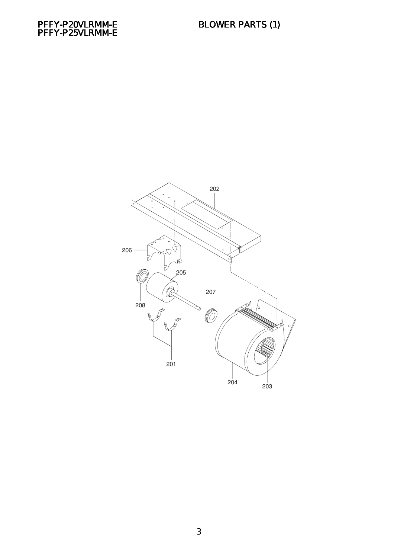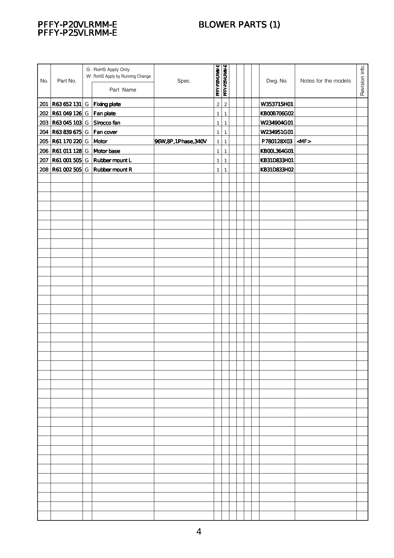## BLOWER PARTS (1)



| No. | Part No.                                                        | G: RoHS Apply Only<br>W: RoHS Apply by Running Change<br>Part Name | Spec.                 | PFFY-P20VLRMM-E                | PFFY-P25VLRMM-E                |  | Dwg. No.                  | Notes for the models | Revision info. |
|-----|-----------------------------------------------------------------|--------------------------------------------------------------------|-----------------------|--------------------------------|--------------------------------|--|---------------------------|----------------------|----------------|
|     |                                                                 |                                                                    |                       |                                |                                |  |                           |                      |                |
|     | $201$ R63 652 131 G Fixing plate<br>202 R61 049 126 G Fan plate |                                                                    |                       | $\overline{c}$<br>$\mathbf{1}$ | $\overline{a}$<br>$\mathbf{1}$ |  | W353715H01<br>KB00B706G02 |                      |                |
|     | 203 R63 045 103 G Sirocco fan                                   |                                                                    |                       | $\mathbf{1}$                   | $\mathbf{1}$                   |  | W234904G01                |                      |                |
|     | 204 R63 839 675 G Fan cover                                     |                                                                    |                       | $\mathbf{1}$                   | $\mathbf{1}$                   |  | W234951GO1                |                      |                |
|     | 205 R61 170 220 G Motor                                         |                                                                    | 96W, 8P, 1Phase, 340V | $\mathbf{1}$                   | $\mathbf{1}$                   |  | P780128X03 <mf></mf>      |                      |                |
|     | 206 R61 011 128 G Motor base                                    |                                                                    |                       | $\mathbf{1}$                   | $\mathbf{1}$                   |  | <b>KBOOL364GO1</b>        |                      |                |
|     |                                                                 | 207 R61 001 505 G Rubber mount L                                   |                       | $\mathbf{1}$                   | $\mathbf{1}$                   |  | KB31D833H01               |                      |                |
|     |                                                                 | 208 R61 002 505 G Rubber mount R                                   |                       | $\mathbf{1}$                   | $\mathbf{1}$                   |  | KB31D833H02               |                      |                |
|     |                                                                 |                                                                    |                       |                                |                                |  |                           |                      |                |
|     |                                                                 |                                                                    |                       |                                |                                |  |                           |                      |                |
|     |                                                                 |                                                                    |                       |                                |                                |  |                           |                      |                |
|     |                                                                 |                                                                    |                       |                                |                                |  |                           |                      |                |
|     |                                                                 |                                                                    |                       |                                |                                |  |                           |                      |                |
|     |                                                                 |                                                                    |                       |                                |                                |  |                           |                      |                |
|     |                                                                 |                                                                    |                       |                                |                                |  |                           |                      |                |
|     |                                                                 |                                                                    |                       |                                |                                |  |                           |                      |                |
|     |                                                                 |                                                                    |                       |                                |                                |  |                           |                      |                |
|     |                                                                 |                                                                    |                       |                                |                                |  |                           |                      |                |
|     |                                                                 |                                                                    |                       |                                |                                |  |                           |                      |                |
|     |                                                                 |                                                                    |                       |                                |                                |  |                           |                      |                |
|     |                                                                 |                                                                    |                       |                                |                                |  |                           |                      |                |
|     |                                                                 |                                                                    |                       |                                |                                |  |                           |                      |                |
|     |                                                                 |                                                                    |                       |                                |                                |  |                           |                      |                |
|     |                                                                 |                                                                    |                       |                                |                                |  |                           |                      |                |
|     |                                                                 |                                                                    |                       |                                |                                |  |                           |                      |                |
|     |                                                                 |                                                                    |                       |                                |                                |  |                           |                      |                |
|     |                                                                 |                                                                    |                       |                                |                                |  |                           |                      |                |
|     |                                                                 |                                                                    |                       |                                |                                |  |                           |                      |                |
|     |                                                                 |                                                                    |                       |                                |                                |  |                           |                      |                |
|     |                                                                 |                                                                    |                       |                                |                                |  |                           |                      |                |
|     |                                                                 |                                                                    |                       |                                |                                |  |                           |                      |                |
|     |                                                                 |                                                                    |                       |                                |                                |  |                           |                      |                |
|     |                                                                 |                                                                    |                       |                                |                                |  |                           |                      |                |
|     |                                                                 |                                                                    |                       |                                |                                |  |                           |                      |                |
|     |                                                                 |                                                                    |                       |                                |                                |  |                           |                      |                |
|     |                                                                 |                                                                    |                       |                                |                                |  |                           |                      |                |
|     |                                                                 |                                                                    |                       |                                |                                |  |                           |                      |                |
|     |                                                                 |                                                                    |                       |                                |                                |  |                           |                      |                |
|     |                                                                 |                                                                    |                       |                                |                                |  |                           |                      |                |
|     |                                                                 |                                                                    |                       |                                |                                |  |                           |                      |                |
|     |                                                                 |                                                                    |                       |                                |                                |  |                           |                      |                |
|     |                                                                 |                                                                    |                       |                                |                                |  |                           |                      |                |
|     |                                                                 |                                                                    |                       |                                |                                |  |                           |                      |                |
|     |                                                                 |                                                                    |                       |                                |                                |  |                           |                      |                |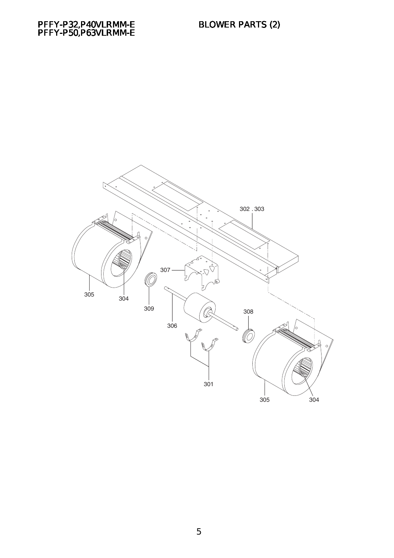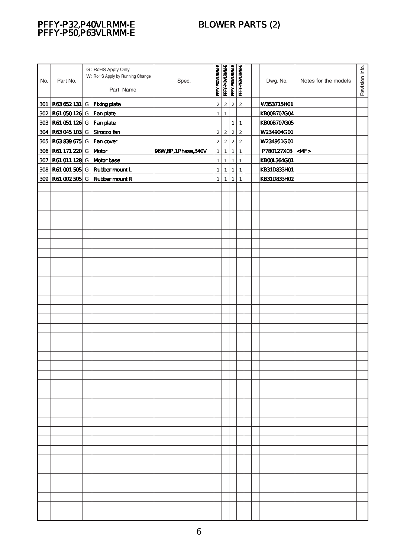## BLOWER PARTS (2)

#### PFFY-P32,P40VLRMM-E PFFY-P50,P63VLRMM-E

| No. | Part No.                         | G: RoHS Apply Only<br>W: RoHS Apply by Running Change<br>Part Name | Spec.                 | PFFY-P32VLRMM-E | PFFY-P40VLRMM-E | PFFY-P50VLRMM-E | PFFY-P63VLRMM-E         | Dwg. No.               | Notes for the models | Revision info. |
|-----|----------------------------------|--------------------------------------------------------------------|-----------------------|-----------------|-----------------|-----------------|-------------------------|------------------------|----------------------|----------------|
|     |                                  |                                                                    |                       |                 |                 |                 |                         |                        |                      |                |
|     | 301 R63 652 131 G   Fixing plate |                                                                    |                       | $\overline{2}$  | $\overline{2}$  | $\overline{2}$  | $\overline{2}$          | W353715H01             |                      |                |
|     | 302 R61 050 126 G   Fan plate    |                                                                    |                       | $\mathbf{1}$    | $\mathbf{1}$    |                 |                         | <b>KBOOB707GO4</b>     |                      |                |
|     | 303 R61 051 126 G   Fan plate    |                                                                    |                       |                 |                 | $\mathbf{1}$    | $\mathbf{1}$            | <b>KBOOB707GO5</b>     |                      |                |
|     | 304 R63 045 103 G                | Sirocco fan                                                        |                       | $2\vert$        | $\overline{2}$  | $\mathbf 2$     | $\overline{c}$          | W234904G01             |                      |                |
|     | 305 R63 839 675 G                | Fan cover                                                          |                       | $2\vert$        | $\mathbf 2$     | $\mathbf 2$     | $\overline{\mathbf{c}}$ | W234951GO1             |                      |                |
|     | 306 R61 171 220 G                | Motor                                                              | 96W, 8P, 1Phase, 340V | $\mathbf{1}$    | $\mathbf{1}$    | $\mathbf{1}$    | $\mathbf{1}$            | $PT80127X03$ <mf></mf> |                      |                |
|     | 307 R61 011 128 G Motor base     |                                                                    |                       | 1               | $\mathbf{1}$    | $\mathbf{1}$    | $\mathbf{1}$            | <b>KBOOL364GO1</b>     |                      |                |
|     |                                  | 308 R61 001 505 G Rubber mount L                                   |                       | $\mathbf{1}$    | $\mathbf{1}$    | $\mathbf{1}$    | $\mathbf{1}$            | KB31D833H01            |                      |                |
|     |                                  | 309 R61 002 505 G Rubber mount R                                   |                       | $\mathbf{1}$    | $\mathbf{1}$    | $\mathbf{1}$    | $\mathbf{1}$            | KB31D833HO2            |                      |                |
|     |                                  |                                                                    |                       |                 |                 |                 |                         |                        |                      |                |
|     |                                  |                                                                    |                       |                 |                 |                 |                         |                        |                      |                |
|     |                                  |                                                                    |                       |                 |                 |                 |                         |                        |                      |                |
|     |                                  |                                                                    |                       |                 |                 |                 |                         |                        |                      |                |
|     |                                  |                                                                    |                       |                 |                 |                 |                         |                        |                      |                |
|     |                                  |                                                                    |                       |                 |                 |                 |                         |                        |                      |                |
|     |                                  |                                                                    |                       |                 |                 |                 |                         |                        |                      |                |
|     |                                  |                                                                    |                       |                 |                 |                 |                         |                        |                      |                |
|     |                                  |                                                                    |                       |                 |                 |                 |                         |                        |                      |                |
|     |                                  |                                                                    |                       |                 |                 |                 |                         |                        |                      |                |
|     |                                  |                                                                    |                       |                 |                 |                 |                         |                        |                      |                |
|     |                                  |                                                                    |                       |                 |                 |                 |                         |                        |                      |                |
|     |                                  |                                                                    |                       |                 |                 |                 |                         |                        |                      |                |
|     |                                  |                                                                    |                       |                 |                 |                 |                         |                        |                      |                |
|     |                                  |                                                                    |                       |                 |                 |                 |                         |                        |                      |                |
|     |                                  |                                                                    |                       |                 |                 |                 |                         |                        |                      |                |
|     |                                  |                                                                    |                       |                 |                 |                 |                         |                        |                      |                |
|     |                                  |                                                                    |                       |                 |                 |                 |                         |                        |                      |                |
|     |                                  |                                                                    |                       |                 |                 |                 |                         |                        |                      |                |
|     |                                  |                                                                    |                       |                 |                 |                 |                         |                        |                      |                |
|     |                                  |                                                                    |                       |                 |                 |                 |                         |                        |                      |                |
|     |                                  |                                                                    |                       |                 |                 |                 |                         |                        |                      |                |
|     |                                  |                                                                    |                       |                 |                 |                 |                         |                        |                      |                |
|     |                                  |                                                                    |                       |                 |                 |                 |                         |                        |                      |                |
|     |                                  |                                                                    |                       |                 |                 |                 |                         |                        |                      |                |
|     |                                  |                                                                    |                       |                 |                 |                 |                         |                        |                      |                |
|     |                                  |                                                                    |                       |                 |                 |                 |                         |                        |                      |                |
|     |                                  |                                                                    |                       |                 |                 |                 |                         |                        |                      |                |
|     |                                  |                                                                    |                       |                 |                 |                 |                         |                        |                      |                |
|     |                                  |                                                                    |                       |                 |                 |                 |                         |                        |                      |                |
|     |                                  |                                                                    |                       |                 |                 |                 |                         |                        |                      |                |
|     |                                  |                                                                    |                       |                 |                 |                 |                         |                        |                      |                |
|     |                                  |                                                                    |                       |                 |                 |                 |                         |                        |                      |                |
|     |                                  |                                                                    |                       |                 |                 |                 |                         |                        |                      |                |
|     |                                  |                                                                    |                       |                 |                 |                 |                         |                        |                      |                |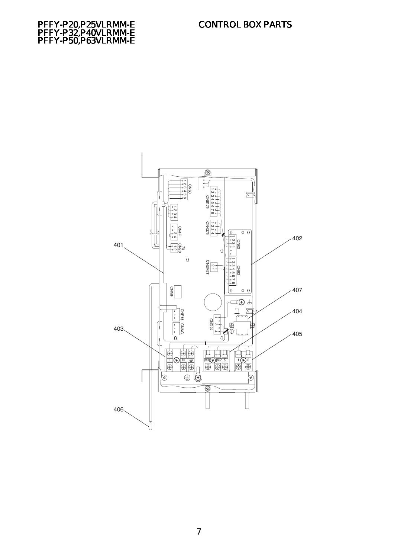



7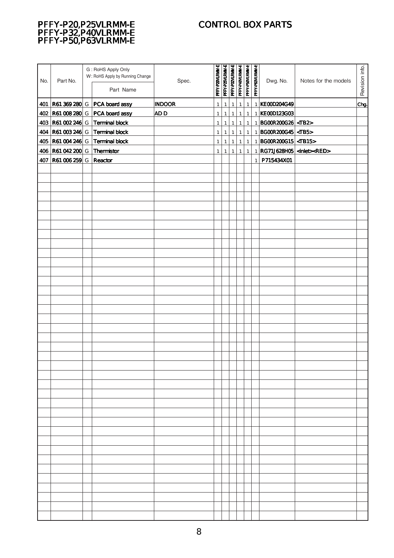### CONTROL BOX PARTS

#### PFFY-P20,P25VLRMM-E PFFY-P32,P40VLRMM-E PFFY-P50,P63VLRMM-E

| No. | Part No.                     | G: RoHS Apply Only<br>W: RoHS Apply by Running Change<br>Part Name | Spec.         | PFFY-P20VLRMM-E | <b>PFFY-P25VLRMM-E</b><br>PFFY-P32VLRMM-E |                | PFFY-P40VLRMM-E | PFFY-P50VLRMM-E | PFFY-P63VLRMM-E | Dwg. No.                        | Notes for the models                     | Revision info. |
|-----|------------------------------|--------------------------------------------------------------------|---------------|-----------------|-------------------------------------------|----------------|-----------------|-----------------|-----------------|---------------------------------|------------------------------------------|----------------|
|     |                              | 401 R61 369 280 G PCA board assy                                   | <b>INDOOR</b> | $\mathbf{1}$    | $\mathbf{1}$                              | $\mathbf{1}$   | $\mathbf{1}$    | $\mathbf{1}$    | $\mathbf{1}$    | KEOOD204G49                     |                                          | Chg            |
|     |                              | 402 R61 008 280 G PCA board assy                                   | <b>ADD</b>    | $\mathbf{1}$    | $\mathbf{1}$                              | $\overline{1}$ | $\mathbf{1}$    | $\mathbf{1}$    |                 | 1 KE000123G03                   |                                          |                |
|     |                              | 403 R61 002 246 G Terminal block                                   |               | 1               | 1                                         | $\mathbf{1}$   |                 | $1 \vert 1$     |                 | 1   BGOOR 2006 26   <tb2></tb2> |                                          |                |
|     |                              | 404 R61 003 246 G Terminal block                                   |               |                 |                                           |                |                 |                 |                 | 1 $ BGOR200G45 $ <tb5></tb5>    |                                          |                |
|     |                              |                                                                    |               | $\mathbf{1}$    | $\mathbf{1}$                              | $\mathbf{1}$   |                 | $1 \mid 1$      |                 |                                 |                                          |                |
|     |                              | 405 R61 004 246 G Terminal block                                   |               | 1               | $\mathbf{1}$                              | $\mathbf{1}$   |                 | $1 \mid 1$      |                 | 1 BGOOR 2006 15 <tb15></tb15>   |                                          |                |
|     | 406 R61 042 200 G Thermistor |                                                                    |               | 1               | $\mathbf{1}$                              | $\mathbf{1}$   | 1               | $\mathbf{1}$    |                 |                                 | 1 RG71J628H05 <inlet><red></red></inlet> |                |
| 407 | <b>R61 006 259 G</b>         | Reactor                                                            |               |                 |                                           |                |                 |                 | $\mathbf{1}$    | P715434X01                      |                                          |                |
|     |                              |                                                                    |               |                 |                                           |                |                 |                 |                 |                                 |                                          |                |
|     |                              |                                                                    |               |                 |                                           |                |                 |                 |                 |                                 |                                          |                |
|     |                              |                                                                    |               |                 |                                           |                |                 |                 |                 |                                 |                                          |                |
|     |                              |                                                                    |               |                 |                                           |                |                 |                 |                 |                                 |                                          |                |
|     |                              |                                                                    |               |                 |                                           |                |                 |                 |                 |                                 |                                          |                |
|     |                              |                                                                    |               |                 |                                           |                |                 |                 |                 |                                 |                                          |                |
|     |                              |                                                                    |               |                 |                                           |                |                 |                 |                 |                                 |                                          |                |
|     |                              |                                                                    |               |                 |                                           |                |                 |                 |                 |                                 |                                          |                |
|     |                              |                                                                    |               |                 |                                           |                |                 |                 |                 |                                 |                                          |                |
|     |                              |                                                                    |               |                 |                                           |                |                 |                 |                 |                                 |                                          |                |
|     |                              |                                                                    |               |                 |                                           |                |                 |                 |                 |                                 |                                          |                |
|     |                              |                                                                    |               |                 |                                           |                |                 |                 |                 |                                 |                                          |                |
|     |                              |                                                                    |               |                 |                                           |                |                 |                 |                 |                                 |                                          |                |
|     |                              |                                                                    |               |                 |                                           |                |                 |                 |                 |                                 |                                          |                |
|     |                              |                                                                    |               |                 |                                           |                |                 |                 |                 |                                 |                                          |                |
|     |                              |                                                                    |               |                 |                                           |                |                 |                 |                 |                                 |                                          |                |
|     |                              |                                                                    |               |                 |                                           |                |                 |                 |                 |                                 |                                          |                |
|     |                              |                                                                    |               |                 |                                           |                |                 |                 |                 |                                 |                                          |                |
|     |                              |                                                                    |               |                 |                                           |                |                 |                 |                 |                                 |                                          |                |
|     |                              |                                                                    |               |                 |                                           |                |                 |                 |                 |                                 |                                          |                |
|     |                              |                                                                    |               |                 |                                           |                |                 |                 |                 |                                 |                                          |                |
|     |                              |                                                                    |               |                 |                                           |                |                 |                 |                 |                                 |                                          |                |
|     |                              |                                                                    |               |                 |                                           |                |                 |                 |                 |                                 |                                          |                |
|     |                              |                                                                    |               |                 |                                           |                |                 |                 |                 |                                 |                                          |                |
|     |                              |                                                                    |               |                 |                                           |                |                 |                 |                 |                                 |                                          |                |
|     |                              |                                                                    |               |                 |                                           |                |                 |                 |                 |                                 |                                          |                |
|     |                              |                                                                    |               |                 |                                           |                |                 |                 |                 |                                 |                                          |                |
|     |                              |                                                                    |               |                 |                                           |                |                 |                 |                 |                                 |                                          |                |
|     |                              |                                                                    |               |                 |                                           |                |                 |                 |                 |                                 |                                          |                |
|     |                              |                                                                    |               |                 |                                           |                |                 |                 |                 |                                 |                                          |                |
|     |                              |                                                                    |               |                 |                                           |                |                 |                 |                 |                                 |                                          |                |
|     |                              |                                                                    |               |                 |                                           |                |                 |                 |                 |                                 |                                          |                |
|     |                              |                                                                    |               |                 |                                           |                |                 |                 |                 |                                 |                                          |                |
|     |                              |                                                                    |               |                 |                                           |                |                 |                 |                 |                                 |                                          |                |
|     |                              |                                                                    |               |                 |                                           |                |                 |                 |                 |                                 |                                          |                |
|     |                              |                                                                    |               |                 |                                           |                |                 |                 |                 |                                 |                                          |                |
|     |                              |                                                                    |               |                 |                                           |                |                 |                 |                 |                                 |                                          |                |
|     |                              |                                                                    |               |                 |                                           |                |                 |                 |                 |                                 |                                          |                |